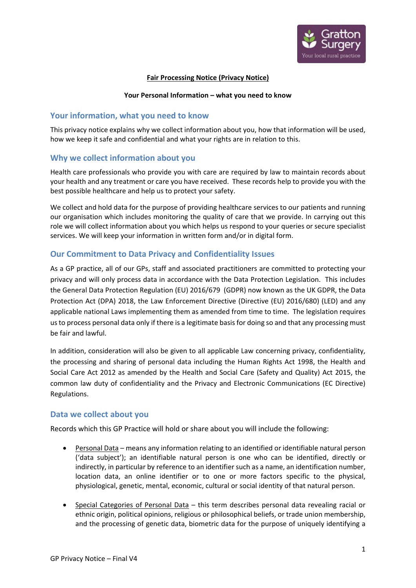

#### **Fair Processing Notice (Privacy Notice)**

#### **Your Personal Information – what you need to know**

## **Your information, what you need to know**

This privacy notice explains why we collect information about you, how that information will be used, how we keep it safe and confidential and what your rights are in relation to this.

## **Why we collect information about you**

Health care professionals who provide you with care are required by law to maintain records about your health and any treatment or care you have received. These records help to provide you with the best possible healthcare and help us to protect your safety.

We collect and hold data for the purpose of providing healthcare services to our patients and running our organisation which includes monitoring the quality of care that we provide. In carrying out this role we will collect information about you which helps us respond to your queries or secure specialist services. We will keep your information in written form and/or in digital form.

# **Our Commitment to Data Privacy and Confidentiality Issues**

As a GP practice, all of our GPs, staff and associated practitioners are committed to protecting your privacy and will only process data in accordance with the Data Protection Legislation. This includes the General Data Protection Regulation (EU) 2016/679 (GDPR) now known as the UK GDPR, the Data Protection Act (DPA) 2018, the Law Enforcement Directive (Directive (EU) 2016/680) (LED) and any applicable national Laws implementing them as amended from time to time. The legislation requires us to process personal data only if there is a legitimate basis for doing so and that any processing must be fair and lawful.

In addition, consideration will also be given to all applicable Law concerning privacy, confidentiality, the processing and sharing of personal data including the Human Rights Act 1998, the Health and Social Care Act 2012 as amended by the Health and Social Care (Safety and Quality) Act 2015, the common law duty of confidentiality and the Privacy and Electronic Communications (EC Directive) Regulations.

## **Data we collect about you**

Records which this GP Practice will hold or share about you will include the following:

- Personal Data means any information relating to an identified or identifiable natural person ('data subject'); an identifiable natural person is one who can be identified, directly or indirectly, in particular by reference to an identifier such as a name, an identification number, location data, an online identifier or to one or more factors specific to the physical, physiological, genetic, mental, economic, cultural or social identity of that natural person.
- Special Categories of Personal Data this term describes personal data revealing racial or ethnic origin, political opinions, religious or philosophical beliefs, or trade union membership, and the processing of genetic data, biometric data for the purpose of uniquely identifying a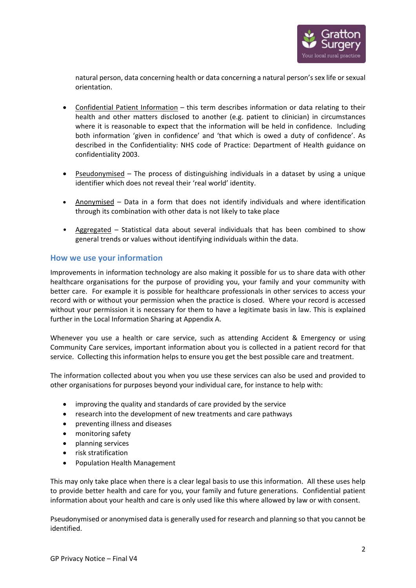

natural person, data concerning health or data concerning a natural person's sex life or sexual orientation.

- Confidential Patient Information this term describes information or data relating to their health and other matters disclosed to another (e.g. patient to clinician) in circumstances where it is reasonable to expect that the information will be held in confidence. Including both information 'given in confidence' and 'that which is owed a duty of confidence'. As described in the Confidentiality: NHS code of Practice: Department of Health guidance on confidentiality 2003.
- Pseudonymised The process of distinguishing individuals in a dataset by using a unique identifier which does not reveal their 'real world' identity.
- Anonymised Data in a form that does not identify individuals and where identification through its combination with other data is not likely to take place
- Aggregated Statistical data about several individuals that has been combined to show general trends or values without identifying individuals within the data.

## **How we use your information**

Improvements in information technology are also making it possible for us to share data with other healthcare organisations for the purpose of providing you, your family and your community with better care. For example it is possible for healthcare professionals in other services to access your record with or without your permission when the practice is closed. Where your record is accessed without your permission it is necessary for them to have a legitimate basis in law. This is explained further in the Local Information Sharing at Appendix A.

Whenever you use a health or care service, such as attending Accident & Emergency or using Community Care services, important information about you is collected in a patient record for that service. Collecting this information helps to ensure you get the best possible care and treatment.

The information collected about you when you use these services can also be used and provided to other organisations for purposes beyond your individual care, for instance to help with:

- improving the quality and standards of care provided by the service
- research into the development of new treatments and care pathways
- preventing illness and diseases
- monitoring safety
- planning services
- risk stratification
- Population Health Management

This may only take place when there is a clear legal basis to use this information. All these uses help to provide better health and care for you, your family and future generations. Confidential patient information about your health and care is only used like this where allowed by law or with consent.

Pseudonymised or anonymised data is generally used for research and planning so that you cannot be identified.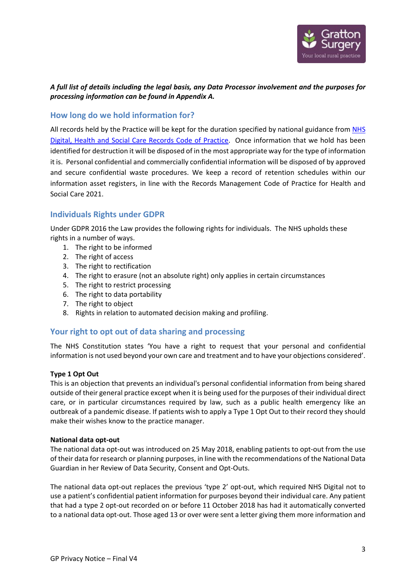

# *A full list of details including the legal basis, any Data Processor involvement and the purposes for processing information can be found in Appendix A.*

# **How long do we hold information for?**

All records held by the Practice will be kept for the duration specified by national guidance from [NHS](https://www.nhsx.nhs.uk/information-governance/guidance/records-management-code/)  [Digital, Health and Social Care Records Code of Practice.](https://www.nhsx.nhs.uk/information-governance/guidance/records-management-code/) Once information that we hold has been identified for destruction it will be disposed of in the most appropriate way for the type of information it is. Personal confidential and commercially confidential information will be disposed of by approved and secure confidential waste procedures. We keep a record of retention schedules within our information asset registers, in line with the Records Management Code of Practice for Health and Social Care 2021.

# **Individuals Rights under GDPR**

Under GDPR 2016 the Law provides the following rights for individuals. The NHS upholds these rights in a number of ways.

- 1. The right to be informed
- 2. The right of access
- 3. The right to rectification
- 4. The right to erasure (not an absolute right) only applies in certain circumstances
- 5. The right to restrict processing
- 6. The right to data portability
- 7. The right to object
- 8. Rights in relation to automated decision making and profiling.

## **Your right to opt out of data sharing and processing**

The NHS Constitution states 'You have a right to request that your personal and confidential information is not used beyond your own care and treatment and to have your objections considered'.

#### **Type 1 Opt Out**

This is an objection that prevents an individual's personal confidential information from being shared outside of their general practice except when it is being used for the purposes of their individual direct care, or in particular circumstances required by law, such as a public health emergency like an outbreak of a pandemic disease. If patients wish to apply a Type 1 Opt Out to their record they should make their wishes know to the practice manager.

#### **National data opt-out**

The national data opt-out was introduced on 25 May 2018, enabling patients to opt-out from the use of their data for research or planning purposes, in line with the recommendations of the National Data Guardian in her Review of Data Security, Consent and Opt-Outs.

The national data opt-out replaces the previous 'type 2' opt-out, which required NHS Digital not to use a patient's confidential patient information for purposes beyond their individual care. Any patient that had a type 2 opt-out recorded on or before 11 October 2018 has had it automatically converted to a national data opt-out. Those aged 13 or over were sent a letter giving them more information and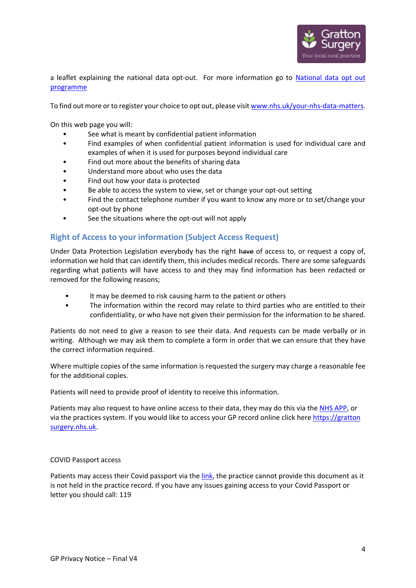

a leaflet explaining the national data opt-out. For more information go to National data opt out [programme](https://digital.nhs.uk/services/national-data-opt-out-programme) 

To find out more or to register your choice to opt out, please visi[t www.nhs.uk/your-nhs-data-matters.](http://www.nhs.uk/your-nhs-data-matters)

On this web page you will:

- See what is meant by confidential patient information
- Find examples of when confidential patient information is used for individual care and examples of when it is used for purposes beyond individual care
- Find out more about the benefits of sharing data
- Understand more about who uses the data
- Find out how your data is protected
- Be able to access the system to view, set or change your opt-out setting
- Find the contact telephone number if you want to know any more or to set/change your opt-out by phone
- See the situations where the opt-out will not apply

## **Right of Access to your information (Subject Access Request)**

Under Data Protection Legislation everybody has the right have of access to, or request a copy of, information we hold that can identify them, this includes medical records. There are some safeguards regarding what patients will have access to and they may find information has been redacted or removed for the following reasons;

- It may be deemed to risk causing harm to the patient or others
- The information within the record may relate to third parties who are entitled to their confidentiality, or who have not given their permission for the information to be shared.

Patients do not need to give a reason to see their data. And requests can be made verbally or in writing. Although we may ask them to complete a form in order that we can ensure that they have the correct information required.

Where multiple copies of the same information is requested the surgery may charge a reasonable fee for the additional copies.

Patients will need to provide proof of identity to receive this information.

Patients may also request to have online access to their data, they may do this via the [NHS APP,](https://help.login.nhs.uk/setupnhslogin/#where-you-can-use-nhs-login) or via the practices system. If you would like to access your GP record online click here https://gratton surgery.nhs.uk.

#### COVID Passport access

Patients may access their Covid passport via th[e link,](https://www.nhs.uk/conditions/coronavirus-covid-19/covid-pass/) the practice cannot provide this document as it is not held in the practice record. If you have any issues gaining access to your Covid Passport or letter you should call: 119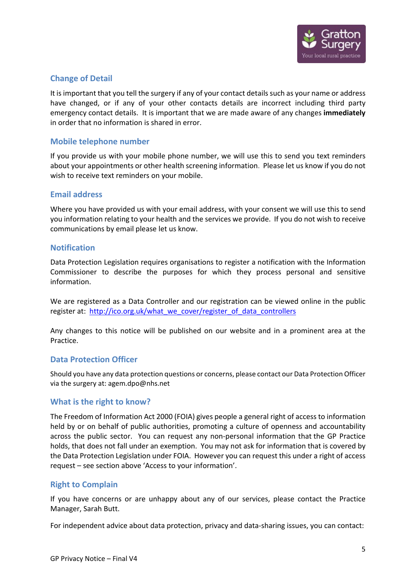

# **Change of Detail**

It is important that you tell the surgery if any of your contact details such as your name or address have changed, or if any of your other contacts details are incorrect including third party emergency contact details. It is important that we are made aware of any changes **immediately** in order that no information is shared in error.

# **Mobile telephone number**

If you provide us with your mobile phone number, we will use this to send you text reminders about your appointments or other health screening information. Please let us know if you do not wish to receive text reminders on your mobile.

## **Email address**

Where you have provided us with your email address, with your consent we will use this to send you information relating to your health and the services we provide. If you do not wish to receive communications by email please let us know.

## **Notification**

Data Protection Legislation requires organisations to register a notification with the Information Commissioner to describe the purposes for which they process personal and sensitive information.

We are registered as a Data Controller and our registration can be viewed online in the public register at: [http://ico.org.uk/what\\_we\\_cover/register\\_of\\_data\\_controllers](http://ico.org.uk/what_we_cover/register_of_data_controllers)

Any changes to this notice will be published on our website and in a prominent area at the Practice.

## **Data Protection Officer**

Should you have any data protection questions or concerns, please contact our Data Protection Officer via the surgery at: agem.dpo@nhs.net

## **What is the right to know?**

The Freedom of Information Act 2000 (FOIA) gives people a general right of access to information held by or on behalf of public authorities, promoting a culture of openness and accountability across the public sector. You can request any non-personal information that the GP Practice holds, that does not fall under an exemption. You may not ask for information that is covered by the Data Protection Legislation under FOIA. However you can request this under a right of access request – see section above 'Access to your information'.

# **Right to Complain**

If you have concerns or are unhappy about any of our services, please contact the Practice Manager, Sarah Butt.

For independent advice about data protection, privacy and data-sharing issues, you can contact: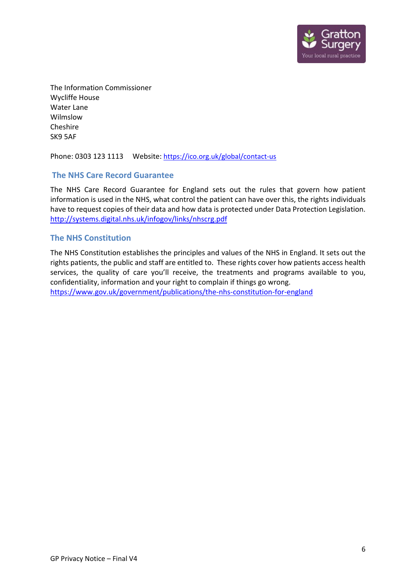

The Information Commissioner Wycliffe House Water Lane Wilmslow Cheshire SK9 5AF

Phone: 0303 123 1113 Website:<https://ico.org.uk/global/contact-us>

# **The NHS Care Record Guarantee**

The NHS Care Record Guarantee for England sets out the rules that govern how patient information is used in the NHS, what control the patient can have over this, the rights individuals have to request copies of their data and how data is protected under Data Protection Legislation. <http://systems.digital.nhs.uk/infogov/links/nhscrg.pdf>

# **The NHS Constitution**

The NHS Constitution establishes the principles and values of the NHS in England. It sets out the rights patients, the public and staff are entitled to. These rights cover how patients access health services, the quality of care you'll receive, the treatments and programs available to you, confidentiality, information and your right to complain if things go wrong. <https://www.gov.uk/government/publications/the-nhs-constitution-for-england>